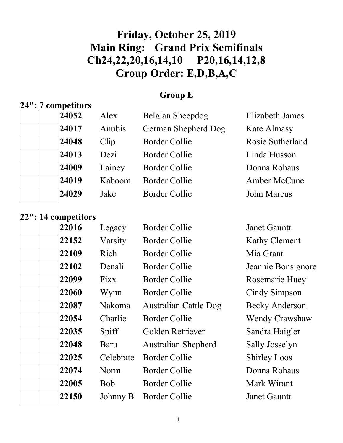### **Group E**

# **24": 7 competitors**

| 24052 |              |
|-------|--------------|
| 24017 | A            |
| 24048 | $\mathsf{C}$ |
| 24013 | D            |
| 24009 | L            |
| 24019 | K            |
| 24029 | Ja           |

 **24052** Alex Belgian Sheepdog Elizabeth James nubis German Shepherd Dog Kate Almasy **241** Example 3 Border Collie Rosie Sutherland ezi Border Collie Linda Husson **2008** 2009 Border Collie 2009 Donna Rohaus **aboom** Border Collie **Amber McCune 2410** Rorder Collie *John Marcus* 

# **22": 14 competitors**  22016 Legacy Border Collie Janet Gauntt **22152** Varsity Border Collie Kathy Clement **22109** Rich Border Collie Mia Grant  **22102** Denali Border Collie Jeannie Bonsignore **22099** Fixx Border Collie Rosemarie Huey **22060** Wynn Border Collie Cindy Simpson 22087 Nakoma Australian Cattle Dog Becky Anderson 22054 Charlie Border Collie Wendy Crawshaw 22035 Spiff Golden Retriever Sandra Haigler  **22048** Baru Australian Shepherd Sally Josselyn 22025 Celebrate Border Collie Shirley Loos 22074 Norm Border Collie Donna Rohaus 22005 Bob Border Collie Mark Wirant **22150** Johnny B Border Collie Janet Gauntt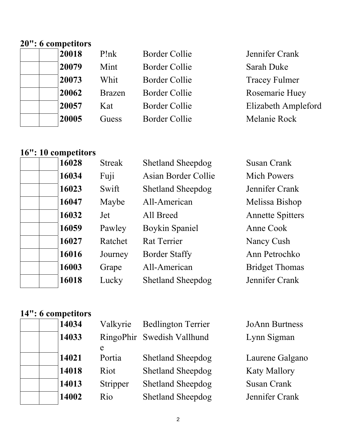### **20": 6 competitors**

| 20018 | P!nk          | <b>Border Collie</b> | Jennifer Crank       |
|-------|---------------|----------------------|----------------------|
| 20079 | Mint          | Border Collie        | Sarah Duke           |
| 20073 | Whit          | Border Collie        | <b>Tracey Fulmer</b> |
| 20062 | <b>Brazen</b> | Border Collie        | Rosemarie Huey       |
| 20057 | Kat           | Border Collie        | Elizabeth Ampleford  |
| 20005 | Guess         | Border Collie        | Melanie Rock         |

# **16": 10 competitors**

| 16028 | <b>Streak</b> | <b>Shetland Sheepdog</b> | <b>Susan Crank</b>      |
|-------|---------------|--------------------------|-------------------------|
| 16034 | Fuji          | Asian Border Collie      | <b>Mich Powers</b>      |
| 16023 | Swift         | <b>Shetland Sheepdog</b> | Jennifer Crank          |
| 16047 | Maybe         | All-American             | Melissa Bishop          |
| 16032 | Jet           | All Breed                | <b>Annette Spitters</b> |
| 16059 | Pawley        | <b>Boykin Spaniel</b>    | Anne Cook               |
| 16027 | Ratchet       | <b>Rat Terrier</b>       | Nancy Cush              |
| 16016 | Journey       | <b>Border Staffy</b>     | Ann Petrochko           |
| 16003 | Grape         | All-American             | <b>Bridget Thomas</b>   |
| 16018 | Lucky         | <b>Shetland Sheepdog</b> | Jennifer Crank          |
|       |               |                          |                         |

| 14034 | Valkyrie | <b>Bedlington Terrier</b>  | <b>JoAnn Burtness</b> |
|-------|----------|----------------------------|-----------------------|
| 14033 |          | RingoPhir Swedish Vallhund | Lynn Sigman           |
|       | e        |                            |                       |
| 14021 | Portia   | <b>Shetland Sheepdog</b>   | Laurene Galgano       |
| 14018 | Riot     | Shetland Sheepdog          | <b>Katy Mallory</b>   |
| 14013 | Stripper | <b>Shetland Sheepdog</b>   | Susan Crank           |
| 14002 | Rio      | <b>Shetland Sheepdog</b>   | Jennifer Crank        |
|       |          |                            |                       |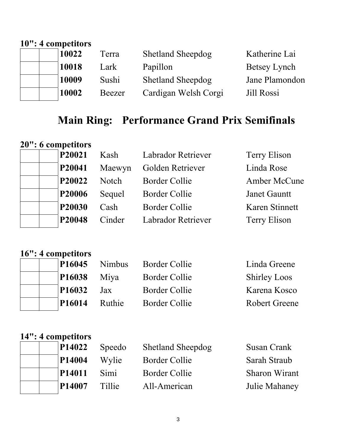# **10": 4 competitors**

| 10022 | Terra  | <b>Shetland Sheepdog</b> | Katherine Lai  |
|-------|--------|--------------------------|----------------|
| 10018 | Lark   | Papillon                 | Betsey Lynch   |
| 10009 | Sushi  | <b>Shetland Sheepdog</b> | Jane Plamondon |
| 10002 | Beezer | Cardigan Welsh Corgi     | Jill Rossi     |

# **Main Ring: Performance Grand Prix Semifinals**

| 20": 6 competitors |                    |              |                           |                     |
|--------------------|--------------------|--------------|---------------------------|---------------------|
|                    | P20021             | Kash         | <b>Labrador Retriever</b> | Terry Elison        |
|                    | P <sub>20041</sub> | Maewyn       | Golden Retriever          | Linda Rose          |
|                    | P20022             | <b>Notch</b> | <b>Border Collie</b>      | Amber McCune        |
|                    | P20006             | Sequel       | <b>Border Collie</b>      | <b>Janet Gauntt</b> |
|                    | P20030             | Cash         | <b>Border Collie</b>      | Karen Stinnett      |
|                    | P20048             | Cinder       | <b>Labrador Retriever</b> | Terry Elison        |

# **16": 4 competitors**

| <b>Shirley Loos</b>  |
|----------------------|
| Karena Kosco         |
| <b>Robert Greene</b> |
|                      |

|  | P <sub>14022</sub> |
|--|--------------------|
|  | P <sub>14004</sub> |
|  | P <sub>14011</sub> |
|  | P <sub>14007</sub> |

| <b>P14022</b> | Speedo | <b>Shetland Sheepdog</b> | Susan Crank          |
|---------------|--------|--------------------------|----------------------|
| <b>P14004</b> | Wylie  | Border Collie            | Sarah Straub         |
| <b>P14011</b> | Simi   | Border Collie            | <b>Sharon Wirant</b> |
| P14007        | Tillie | All-American             | Julie Mahaney        |
|               |        |                          |                      |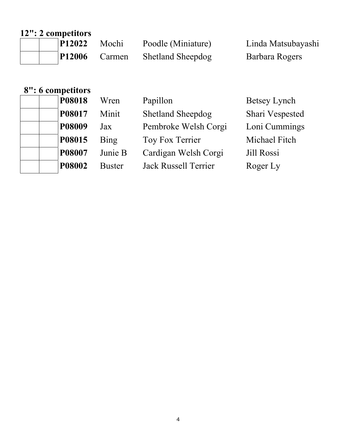# **12": 2 competitors**

|  | P12022             | Mochi  | Poodle (Miniature)       | Linda Matsubayashi |
|--|--------------------|--------|--------------------------|--------------------|
|  | P <sub>12006</sub> | Carmen | <b>Shetland Sheepdog</b> | Barbara Rogers     |

| P08018        | Wren          | Papillon                 | <b>Betsey Lynch</b> |
|---------------|---------------|--------------------------|---------------------|
| P08017        | Minit         | <b>Shetland Sheepdog</b> | Shari Vespested     |
| P08009        | Jax           | Pembroke Welsh Corgi     | Loni Cummings       |
| P08015        | Bing          | Toy Fox Terrier          | Michael Fitch       |
| P08007        | Junie B       | Cardigan Welsh Corgi     | Jill Rossi          |
| <b>P08002</b> | <b>Buster</b> | Jack Russell Terrier     | Roger Ly            |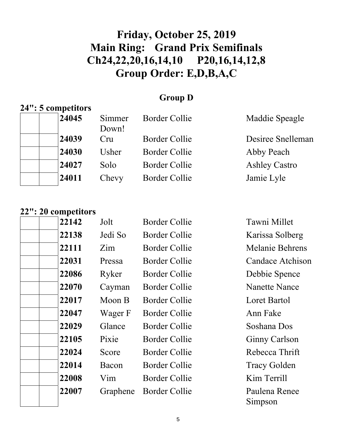# **Group D**

# **24": 5 competitors**

| 24045  | Simmer<br>Down! | Border Collie        | Maddie Speagle       |
|--------|-----------------|----------------------|----------------------|
| 24039  | Cru             | Border Collie        | Desiree Snelleman    |
| 24030  | Usher           | Border Collie        | Abby Peach           |
| 24027  | Solo            | Border Collie        | <b>Ashley Castro</b> |
| 124011 | Chevy           | <b>Border Collie</b> | Jamie Lyle           |

| 22142 | Jolt     | <b>Border Collie</b> | Tawni Millet             |
|-------|----------|----------------------|--------------------------|
| 22138 | Jedi So  | Border Collie        | Karissa Solberg          |
| 22111 | Zim      | Border Collie        | Melanie Behrens          |
| 22031 | Pressa   | Border Collie        | <b>Candace Atchison</b>  |
| 22086 | Ryker    | Border Collie        | Debbie Spence            |
| 22070 | Cayman   | Border Collie        | <b>Nanette Nance</b>     |
| 22017 | Moon B   | Border Collie        | Loret Bartol             |
| 22047 | Wager F  | Border Collie        | Ann Fake                 |
| 22029 | Glance   | Border Collie        | Soshana Dos              |
| 22105 | Pixie    | <b>Border Collie</b> | <b>Ginny Carlson</b>     |
| 22024 | Score    | <b>Border Collie</b> | Rebecca Thrift           |
| 22014 | Bacon    | <b>Border Collie</b> | <b>Tracy Golden</b>      |
| 22008 | Vim      | <b>Border Collie</b> | Kim Terrill              |
| 22007 | Graphene | <b>Border Collie</b> | Paulena Renee<br>Simpson |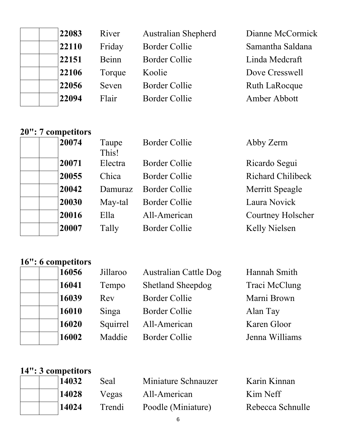| 22083 | River        | <b>Australian Shepherd</b> | Dianne McCormick     |
|-------|--------------|----------------------------|----------------------|
| 22110 | Friday       | <b>Border Collie</b>       | Samantha Saldana     |
| 22151 | <b>Beinn</b> | <b>Border Collie</b>       | Linda Medcraft       |
| 22106 | Torque       | Koolie                     | Dove Cresswell       |
| 22056 | Seven        | <b>Border Collie</b>       | <b>Ruth LaRocque</b> |
| 22094 | Flair        | <b>Border Collie</b>       | Amber Abbott         |
|       |              |                            |                      |

### **20": 7 competitors**  Taup

| upetitors |         |                      |                          |
|-----------|---------|----------------------|--------------------------|
| 20074     | Taupe   | <b>Border Collie</b> | Abby Zerm                |
|           | This!   |                      |                          |
| 20071     | Electra | <b>Border Collie</b> | Ricardo Segui            |
| 20055     | Chica   | <b>Border Collie</b> | <b>Richard Chilibeck</b> |
| 20042     | Damuraz | <b>Border Collie</b> | Merritt Speagle          |
| 20030     | May-tal | <b>Border Collie</b> | Laura Novick             |
| 20016     | Ella    | All-American         | <b>Courtney Holscher</b> |
| 20007     | Tally   | <b>Border Collie</b> | <b>Kelly Nielsen</b>     |

## Abby Zerm

## **16": 6 competitors**

| 16056 |
|-------|
| 16041 |
| 16039 |
| 16010 |
| 16020 |
| 16002 |

| 16056 | Jillaroo | <b>Australian Cattle Dog</b> | Hannah Smith   |
|-------|----------|------------------------------|----------------|
| 16041 | Tempo    | <b>Shetland Sheepdog</b>     | Traci McClung  |
| 16039 | Rev      | <b>Border Collie</b>         | Marni Brown    |
| 16010 | Singa    | <b>Border Collie</b>         | Alan Tay       |
| 16020 | Squirrel | All-American                 | Karen Gloor    |
| 16002 | Maddie   | <b>Border Collie</b>         | Jenna Williams |
|       |          |                              |                |

|  | 14032 | Seal   | Miniature Schnauzer | Karin Kinnan     |
|--|-------|--------|---------------------|------------------|
|  | 14028 | Vegas  | All-American        | Kim Neff         |
|  | 14024 | Trendi | Poodle (Miniature)  | Rebecca Schnulle |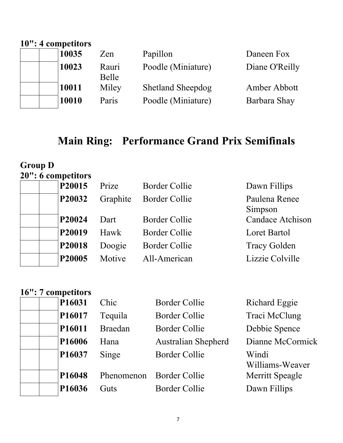# **10": 4 competitors**

| 10035 | Zen            | Papillon                 | Daneen Fox     |
|-------|----------------|--------------------------|----------------|
| 10023 | Rauri<br>Belle | Poodle (Miniature)       | Diane O'Reilly |
| 10011 | Miley          | <b>Shetland Sheepdog</b> | Amber Abbott   |
| 10010 | Paris          | Poodle (Miniature)       | Barbara Shay   |

# **Main Ring: Performance Grand Prix Semifinals**

### **Group D 20": 6 competitors**

| P20015 | Prize    | <b>Border Collie</b> | Dawn Fillips             |
|--------|----------|----------------------|--------------------------|
| P20032 | Graphite | <b>Border Collie</b> | Paulena Renee<br>Simpson |
| P20024 | Dart     | <b>Border Collie</b> | <b>Candace Atchison</b>  |
| P20019 | Hawk     | <b>Border Collie</b> | Loret Bartol             |
| P20018 | Doogie   | <b>Border Collie</b> | <b>Tracy Golden</b>      |
| P20005 | Motive   | All-American         | Lizzie Colville          |

|  | 16": 7 competitors |                |                            |                          |
|--|--------------------|----------------|----------------------------|--------------------------|
|  | P16031             | Chic           | <b>Border Collie</b>       | Richard Eggie            |
|  | P16017             | Tequila        | <b>Border Collie</b>       | Traci McClung            |
|  | P16011             | <b>Braedan</b> | <b>Border Collie</b>       | Debbie Spence            |
|  | P16006             | Hana           | <b>Australian Shepherd</b> | Dianne McCormick         |
|  | P16037             | Singe          | <b>Border Collie</b>       | Windi<br>Williams-Weaver |
|  | P16048             | Phenomenon     | <b>Border Collie</b>       | Merritt Speagle          |
|  | P16036             | Guts           | <b>Border Collie</b>       | Dawn Fillips             |
|  |                    |                |                            |                          |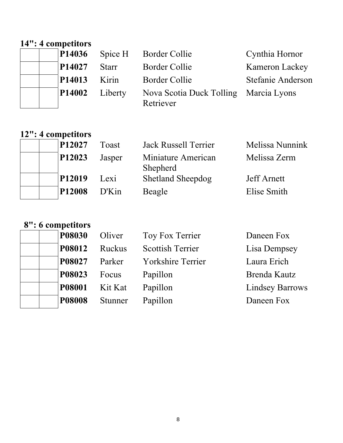### **14": 4 competitors**

|  | <b>P14036</b> | Spice H      | <b>Border Collie</b>                               | Cynthia Hornor    |
|--|---------------|--------------|----------------------------------------------------|-------------------|
|  | P14027        | <b>Starr</b> | Border Collie                                      | Kameron Lackey    |
|  | P14013        | Kirin        | Border Collie                                      | Stefanie Anderson |
|  | <b>P14002</b> | Liberty      | Nova Scotia Duck Tolling Marcia Lyons<br>Retriever |                   |

# **12": 4 competitors**

| P <sub>12027</sub> | Toast  | <b>Jack Russell Terrier</b>    | Melissa Nunnink    |
|--------------------|--------|--------------------------------|--------------------|
| <b>P12023</b>      | Jasper | Miniature American<br>Shepherd | Melissa Zerm       |
| <b>P12019</b>      | Lexi   | <b>Shetland Sheepdog</b>       | <b>Jeff Arnett</b> |
| <b>P12008</b>      | D'Kin  | Beagle                         | Elise Smith        |

| <b>P08030</b> | Oliver  | Toy Fox Terrier         | Daneen Fox             |
|---------------|---------|-------------------------|------------------------|
| P08012        | Ruckus  | <b>Scottish Terrier</b> | Lisa Dempsey           |
| P08027        | Parker  | Yorkshire Terrier       | Laura Erich            |
| P08023        | Focus   | Papillon                | Brenda Kautz           |
| <b>P08001</b> | Kit Kat | Papillon                | <b>Lindsey Barrows</b> |
| <b>P08008</b> | Stunner | Papillon                | Daneen Fox             |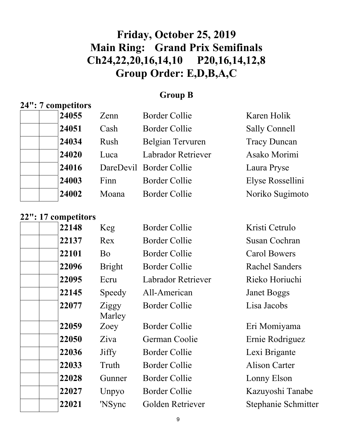### **Group B**

### **24": 7 competitors**

| <b>Group B</b> |  |
|----------------|--|
|                |  |

| 24055 | Zenn  | <b>Border Collie</b>      | Karen Holik          |
|-------|-------|---------------------------|----------------------|
| 24051 | Cash  | <b>Border Collie</b>      | <b>Sally Connell</b> |
| 24034 | Rush  | Belgian Tervuren          | <b>Tracy Duncan</b>  |
| 24020 | Luca  | <b>Labrador Retriever</b> | Asako Morimi         |
| 24016 |       | DareDevil Border Collie   | Laura Pryse          |
| 24003 | Finn  | <b>Border Collie</b>      | Elyse Rossellini     |
| 24002 | Moana | <b>Border Collie</b>      | Noriko Sugimoto      |
|       |       |                           |                      |

## **22": 17 competitors**

|  | 22148 |
|--|-------|
|  | 22137 |
|  | 22101 |
|  | 22096 |
|  | 22095 |
|  | 22145 |
|  | 22077 |
|  |       |
|  |       |
|  | 22059 |
|  | 22050 |
|  | 22036 |
|  | 22033 |
|  | 22028 |
|  | 22027 |
|  | 22021 |

| reg           | Borger Come               | Kristi Cetruio        |
|---------------|---------------------------|-----------------------|
| Rex           | Border Collie             | Susan Cochran         |
| Bo            | <b>Border Collie</b>      | <b>Carol Bowers</b>   |
| <b>Bright</b> | Border Collie             | <b>Rachel Sanders</b> |
| Ecru          | <b>Labrador Retriever</b> | Rieko Horiuchi        |
| Speedy        | All-American              | <b>Janet Boggs</b>    |
| Ziggy         | Border Collie             | Lisa Jacobs           |
| Marley        |                           |                       |
| Zoey          | Border Collie             | Eri Momiyama          |
| Ziva          | German Coolie             | Ernie Rodriguez       |
| <b>Jiffy</b>  | <b>Border Collie</b>      | Lexi Brigante         |
| Truth         | Border Collie             | Alison Carter         |
| Gunner        | Border Collie             | Lonny Elson           |
| Unpyo         | Border Collie             | Kazuyoshi Tanabe      |
| 'NSync        | Golden Retriever          | Stephanie Schmitter   |
|               |                           |                       |

**22148 Keg Border Collie Kristi Cetrulo** Lisa Jacobs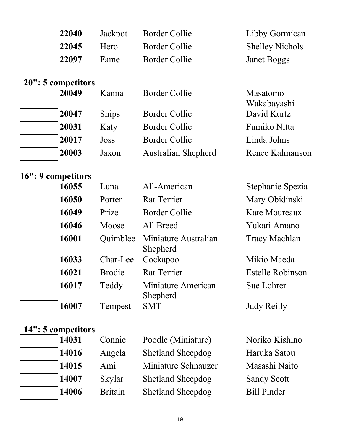|  | 22040 | Jackpot | <b>Border Collie</b> | Libby Gormican         |
|--|-------|---------|----------------------|------------------------|
|  | 22045 | Hero    | Border Collie        | <b>Shelley Nichols</b> |
|  | 22097 | Fame    | Border Collie        | Janet Boggs            |

# **20": 5 competitors**

| 20049 | Kanna        | <b>Border Collie</b>       | Masatomo        |  |
|-------|--------------|----------------------------|-----------------|--|
|       |              |                            | Wakabayashi     |  |
| 20047 | <b>Snips</b> | Border Collie              | David Kurtz     |  |
| 20031 | Katy         | Border Collie              | Fumiko Nitta    |  |
| 20017 | Joss         | Border Collie              | Linda Johns     |  |
| 20003 | Jaxon        | <b>Australian Shepherd</b> | Renee Kalmanson |  |
|       |              |                            |                 |  |

## **16": 9 competitors**

| 16055 | Luna          | All-American                     | Stephanie Spezia        |
|-------|---------------|----------------------------------|-------------------------|
| 16050 | Porter        | Rat Terrier                      | Mary Obidinski          |
| 16049 | Prize         | <b>Border Collie</b>             | Kate Moureaux           |
| 16046 | Moose         | All Breed                        | Yukari Amano            |
| 16001 | Quimblee      | Miniature Australian<br>Shepherd | <b>Tracy Machlan</b>    |
| 16033 | Char-Lee      | Cockapoo                         | Mikio Maeda             |
| 16021 | <b>Brodie</b> | Rat Terrier                      | <b>Estelle Robinson</b> |
| 16017 | Teddy         | Miniature American<br>Shepherd   | Sue Lohrer              |
| 16007 | Tempest       | <b>SMT</b>                       | <b>Judy Reilly</b>      |

|  | 14031 | Connie         | Poodle (Miniature)       | Noriko Kishino     |
|--|-------|----------------|--------------------------|--------------------|
|  | 14016 | Angela         | <b>Shetland Sheepdog</b> | Haruka Satou       |
|  | 14015 | Ami            | Miniature Schnauzer      | Masashi Naito      |
|  | 14007 | Skylar         | <b>Shetland Sheepdog</b> | <b>Sandy Scott</b> |
|  | 14006 | <b>Britain</b> | <b>Shetland Sheepdog</b> | <b>Bill Pinder</b> |
|  |       |                |                          |                    |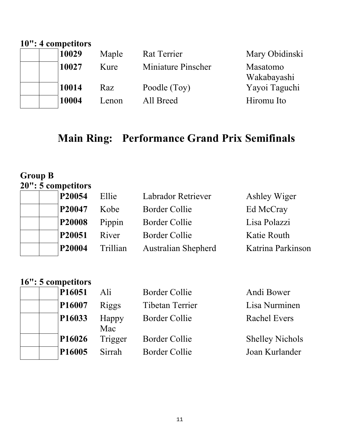# **10": 4 competitors**  10029 Maple Rat Terrier Mary Obidinski  **10027** Kure Miniature Pinscher Masatomo Wakabayashi  **10014** Raz Poodle (Toy) Yayoi Taguchi 10004 Lenon All Breed Hiromu Ito

# **Main Ring: Performance Grand Prix Semifinals**

## **Group B 20": 5 competitors**

|  | P20054        | Ellie    | Labrador Retriever         | Ashley Wiger      |
|--|---------------|----------|----------------------------|-------------------|
|  | P20047        | Kobe     | Border Collie              | Ed McCray         |
|  | <b>P20008</b> | Pippin   | <b>Border Collie</b>       | Lisa Polazzi      |
|  | P20051        | River    | Border Collie              | Katie Routh       |
|  | P20004        | Trillian | <b>Australian Shepherd</b> | Katrina Parkinson |
|  |               |          |                            |                   |

| P16051             | Ali          | Border Collie          | Andi Bower             |
|--------------------|--------------|------------------------|------------------------|
| P16007             | Riggs        | <b>Tibetan Terrier</b> | Lisa Nurminen          |
| P16033             | Happy<br>Mac | Border Collie          | <b>Rachel Evers</b>    |
| P <sub>16026</sub> | Trigger      | <b>Border Collie</b>   | <b>Shelley Nichols</b> |
| P <sub>16005</sub> | Sirrah       | Border Collie          | Joan Kurlander         |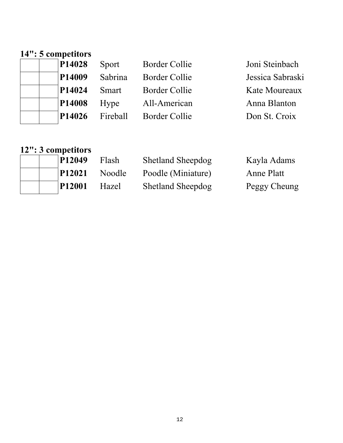### **14": 5 competitors**

| P14028             | Sport    | Border Collie        | Joni Steinbach   |
|--------------------|----------|----------------------|------------------|
| P <sub>14009</sub> | Sabrina  | Border Collie        | Jessica Sabraski |
| P <sub>14024</sub> | Smart    | <b>Border Collie</b> | Kate Moureaux    |
| P14008             | Hype     | All-American         | Anna Blanton     |
| P <sub>14026</sub> | Fireball | <b>Border Collie</b> | Don St. Croix    |

| <b>P12049</b> | Flash  | <b>Shetland Sheepdog</b> | Kayla Adams  |
|---------------|--------|--------------------------|--------------|
| <b>P12021</b> | Noodle | Poodle (Miniature)       | Anne Platt   |
| <b>P12001</b> | Hazel  | <b>Shetland Sheepdog</b> | Peggy Cheung |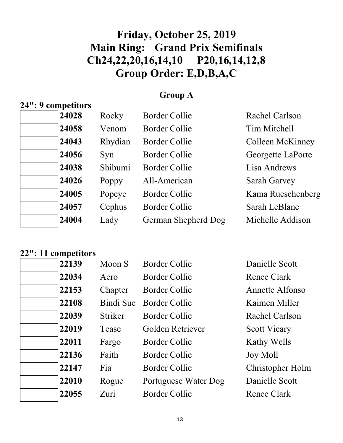# **Group A**

## **24": 9 competitors**

| 24028 | Rocky   | <b>Border Collie</b> | <b>Rachel Carlson</b>   |
|-------|---------|----------------------|-------------------------|
| 24058 | Venom   | <b>Border Collie</b> | Tim Mitchell            |
| 24043 | Rhydian | <b>Border Collie</b> | <b>Colleen McKinney</b> |
| 24056 | Syn     | <b>Border Collie</b> | Georgette LaPorte       |
| 24038 | Shibumi | <b>Border Collie</b> | Lisa Andrews            |
| 24026 | Poppy   | All-American         | <b>Sarah Garvey</b>     |
| 24005 | Popeye  | <b>Border Collie</b> | Kama Rueschenberg       |
| 24057 | Cephus  | <b>Border Collie</b> | Sarah LeBlanc           |
| 24004 | Lady    | German Shepherd Dog  | Michelle Addison        |
|       |         |                      |                         |

| 22139 | Moon S         | <b>Border Collie</b> | Danielle Scott      |
|-------|----------------|----------------------|---------------------|
| 22034 | Aero           | Border Collie        | Renee Clark         |
| 22153 | Chapter        | <b>Border Collie</b> | Annette Alfonso     |
| 22108 | Bindi Sue      | Border Collie        | Kaimen Miller       |
| 22039 | <b>Striker</b> | Border Collie        | Rachel Carlson      |
| 22019 | Tease          | Golden Retriever     | <b>Scott Vicary</b> |
| 22011 | Fargo          | Border Collie        | Kathy Wells         |
| 22136 | Faith          | Border Collie        | Joy Moll            |
| 22147 | Fia            | Border Collie        | Christopher Holm    |
| 22010 | Rogue          | Portuguese Water Dog | Danielle Scott      |
| 22055 | Zuri           | <b>Border Collie</b> | Renee Clark         |
|       |                |                      |                     |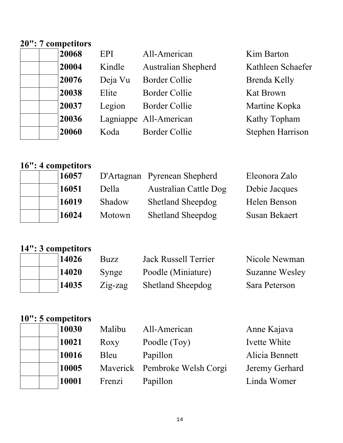## **20": 7 competitors**

| 20068 | EPI     | All-American               | Kim Barton              |
|-------|---------|----------------------------|-------------------------|
| 20004 | Kindle  | <b>Australian Shepherd</b> | Kathleen Schaefer       |
| 20076 | Deja Vu | <b>Border Collie</b>       | Brenda Kelly            |
| 20038 | Elite   | <b>Border Collie</b>       | <b>Kat Brown</b>        |
| 20037 | Legion  | <b>Border Collie</b>       | Martine Kopka           |
| 20036 |         | Lagniappe All-American     | Kathy Topham            |
| 20060 | Koda    | <b>Border Collie</b>       | <b>Stephen Harrison</b> |
|       |         |                            |                         |

# **16": 4 competitors**

| 16057 |        | D'Artagnan Pyrenean Shepherd | Eleonora Zalo |
|-------|--------|------------------------------|---------------|
| 16051 | Della  | <b>Australian Cattle Dog</b> | Debie Jacques |
| 16019 | Shadow | <b>Shetland Sheepdog</b>     | Helen Benson  |
| 16024 | Motown | <b>Shetland Sheepdog</b>     | Susan Bekaert |

# **14": 3 competitors**

|  | 14026 | Buzz       | <b>Jack Russell Terrier</b> | Nicole Newman         |
|--|-------|------------|-----------------------------|-----------------------|
|  | 14020 | Synge      | Poodle (Miniature)          | <b>Suzanne Wesley</b> |
|  | 14035 | $Zig$ -zag | <b>Shetland Sheepdog</b>    | Sara Peterson         |

| 10030 | Malibu | All-American                  | Anne Kajava    |
|-------|--------|-------------------------------|----------------|
| 10021 | Roxy   | Poodle (Toy)                  | Ivette White   |
| 10016 | Bleu   | Papillon                      | Alicia Bennett |
| 10005 |        | Maverick Pembroke Welsh Corgi | Jeremy Gerhard |
| 10001 | Frenzi | Papillon                      | Linda Womer    |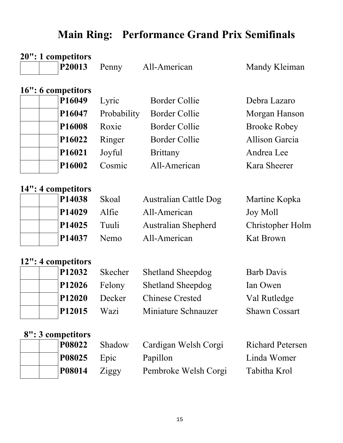# **Main Ring: Performance Grand Prix Semifinals**

| 20": 1 competitors           |             |                            |                       |
|------------------------------|-------------|----------------------------|-----------------------|
| P20013                       | Penny       | All-American               | Mandy Kleiman         |
| 16": 6 competitors           |             |                            |                       |
| P16049                       | Lyric       | <b>Border Collie</b>       | Debra Lazaro          |
| P16047                       | Probability | <b>Border Collie</b>       | Morgan Hanson         |
| P16008                       | Roxie       | <b>Border Collie</b>       | <b>Brooke Robey</b>   |
| P16022                       | Ringer      | <b>Border Collie</b>       | <b>Allison Garcia</b> |
| P16021                       | Joyful      | <b>Brittany</b>            | Andrea Lee            |
| P16002                       | Cosmic      | All-American               | Kara Sheerer          |
|                              |             |                            |                       |
| 14": 4 competitors<br>P14038 | Skoal       | Australian Cattle Dog      | Martine Kopka         |
| P <sub>14029</sub>           | Alfie       | All-American               | <b>Joy Moll</b>       |
| P14025                       | Tuuli       | <b>Australian Shepherd</b> | Christopher Holm      |
| P14037                       | Nemo        | All-American               | <b>Kat Brown</b>      |
|                              |             |                            |                       |
| 12": 4 competitors<br>P12032 | Skecher     | <b>Shetland Sheepdog</b>   | <b>Barb Davis</b>     |
| P12026                       | Felony      | <b>Shetland Sheepdog</b>   | Ian Owen              |
| P12020                       | Decker      | <b>Chinese Crested</b>     | Val Rutledge          |
| P12015                       | Wazi        | Miniature Schnauzer        | <b>Shawn Cossart</b>  |
|                              |             |                            |                       |

|  | P08022 |
|--|--------|
|  | P08025 |
|  | P08014 |

| 8": 3 competitors |        |                      |                         |
|-------------------|--------|----------------------|-------------------------|
| P08022            | Shadow | Cardigan Welsh Corgi | <b>Richard Petersen</b> |
| <b>P08025</b>     | Epic   | Papillon             | Linda Womer             |
| P08014            | Ziggy  | Pembroke Welsh Corgi | Tabitha Krol            |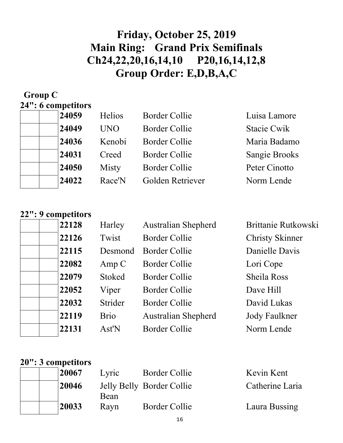## **Group C 24": 6 competitors**

| 24059 | <b>Helios</b> | <b>Border Collie</b> | Luisa Lamore         |
|-------|---------------|----------------------|----------------------|
| 24049 | <b>UNO</b>    | <b>Border Collie</b> | Stacie Cwik          |
| 24036 | Kenobi        | <b>Border Collie</b> | Maria Badamo         |
| 24031 | Creed         | <b>Border Collie</b> | <b>Sangie Brooks</b> |
| 24050 | Misty         | <b>Border Collie</b> | Peter Cinotto        |
| 24022 | Race'N        | Golden Retriever     | Norm Lende           |
|       |               |                      |                      |

|  |  | 22": 9 competitors |
|--|--|--------------------|
|--|--|--------------------|

| 22128 | Harley        | <b>Australian Shepherd</b> | Brittanie Rutkowski    |
|-------|---------------|----------------------------|------------------------|
| 22126 | Twist         | Border Collie              | <b>Christy Skinner</b> |
| 22115 | Desmond       | Border Collie              | Danielle Davis         |
| 22082 | Amp C         | <b>Border Collie</b>       | Lori Cope              |
| 22079 | <b>Stoked</b> | Border Collie              | <b>Sheila Ross</b>     |
| 22052 | Viper         | <b>Border Collie</b>       | Dave Hill              |
| 22032 | Strider       | <b>Border Collie</b>       | David Lukas            |
| 22119 | <b>Brio</b>   | <b>Australian Shepherd</b> | <b>Jody Faulkner</b>   |
| 22131 | Ast'N         | <b>Border Collie</b>       | Norm Lende             |
|       |               |                            |                        |

## **20": 3 competitors**

| 20067 |                |
|-------|----------------|
| 20046 | Je             |
|       | B <sub>0</sub> |
| 20033 | $\rm R$        |

 Lyric Border Collie Kevin Kent Jelly Belly Border Collie Catherine Laria Bean ayn Border Collie Laura Bussing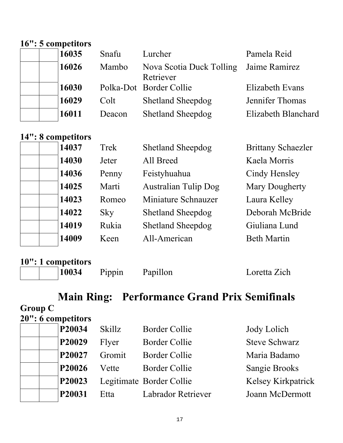# **16": 5 competitors**

| 16035 | Snafu  | Lurcher                  | Pamela Reid                                                       |
|-------|--------|--------------------------|-------------------------------------------------------------------|
| 16026 | Mambo  | Retriever                |                                                                   |
| 16030 |        |                          | Elizabeth Evans                                                   |
| 16029 | Colt   | <b>Shetland Sheepdog</b> | Jennifer Thomas                                                   |
| 16011 | Deacon | <b>Shetland Sheepdog</b> | Elizabeth Blanchard                                               |
|       |        |                          | Nova Scotia Duck Tolling Jaime Ramirez<br>Polka-Dot Border Collie |

## **14": 8 competitors**

| 14037 | Trek       | <b>Shetland Sheepdog</b>    | <b>Brittany Schaezler</b> |
|-------|------------|-----------------------------|---------------------------|
| 14030 | Jeter      | All Breed                   | Kaela Morris              |
| 14036 | Penny      | Feistyhuahua                | Cindy Hensley             |
| 14025 | Marti      | <b>Australian Tulip Dog</b> | <b>Mary Dougherty</b>     |
| 14023 | Romeo      | Miniature Schnauzer         | Laura Kelley              |
| 14022 | <b>Sky</b> | <b>Shetland Sheepdog</b>    | Deborah McBride           |
| 14019 | Rukia      | <b>Shetland Sheepdog</b>    | Giuliana Lund             |
| 14009 | Keen       | All-American                | <b>Beth Martin</b>        |
|       |            |                             |                           |

## **10": 1 competitors**

|  |  | 100 |
|--|--|-----|
|  |  |     |
|  |  |     |

10034 Pippin Papillon Loretta Zich

# **Main Ring: Performance Grand Prix Semifinals**

#### **Group C 20": 6 competitors**

| $\mathbf{F}$ $\mathbf{v}$ $\mathbf{v}$ components |        |                           |                      |
|---------------------------------------------------|--------|---------------------------|----------------------|
| P20034                                            | Skillz | <b>Border Collie</b>      | Jody Lolich          |
| P20029                                            | Flyer  | <b>Border Collie</b>      | <b>Steve Schwarz</b> |
| P20027                                            | Gromit | <b>Border Collie</b>      | Maria Badamo         |
| P20026                                            | Vette  | <b>Border Collie</b>      | <b>Sangie Brooks</b> |
| P20023                                            |        | Legitimate Border Collie  | Kelsey Kirkpatrick   |
| P20031                                            | Etta   | <b>Labrador Retriever</b> | Joann McDermott      |
|                                                   |        |                           |                      |